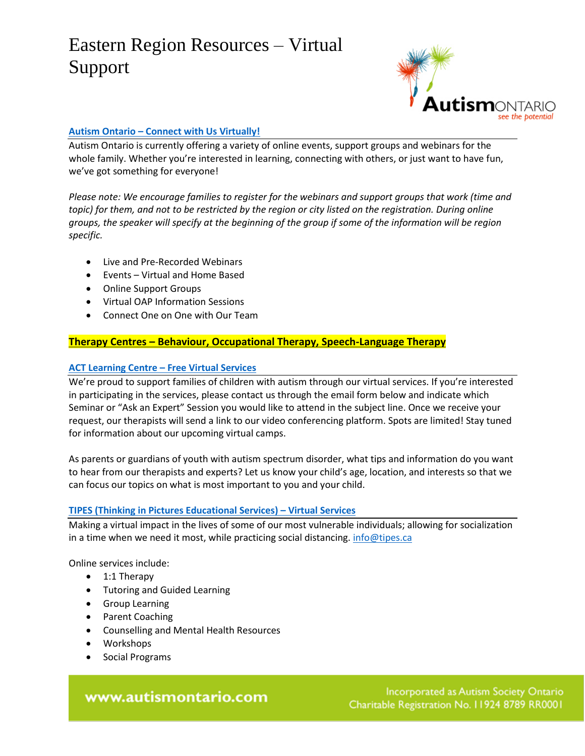

## **Autism Ontario – [Connect with Us Virtually!](https://www.autismontario.com/programs-services/connect-us-virtually)**

Autism Ontario is currently offering a variety of online events, support groups and webinars for the whole family. Whether you're interested in learning, connecting with others, or just want to have fun, we've got something for everyone!

*Please note: We encourage families to register for the webinars and support groups that work (time and topic) for them, and not to be restricted by the region or city listed on the registration. During online groups, the speaker will specify at the beginning of the group if some of the information will be region specific.*

- Live and Pre-Recorded Webinars
- Events Virtual and Home Based
- Online Support Groups
- Virtual OAP Information Sessions
- Connect One on One with Our Team

## **Therapy Centres – Behaviour, Occupational Therapy, Speech-Language Therapy**

## **[ACT Learning Centre](http://actlearningcentre.ca/free-virtual-services/?fbclid=IwAR2hxNnv_kwkT_SUynA6GsJVfsqlBaAdI3JNwwufQEtRF6wR7wZAb2ZZhvk) – Free Virtual Services**

We're proud to support families of children with autism through our virtual services. If you're interested in participating in the services, please contact us through the email form below and indicate which Seminar or "Ask an Expert" Session you would like to attend in the subject line. Once we receive your request, our therapists will send a link to our video conferencing platform. Spots are limited! Stay tuned for information about our upcoming virtual camps.

As parents or guardians of youth with autism spectrum disorder, what tips and information do you want to hear from our therapists and experts? Let us know your child's age, location, and interests so that we can focus our topics on what is most important to you and your child.

### **[TIPES \(Thinking in Pictures Educational Services\)](https://tipes.ca/event/virtual-services/) – Virtual Services**

Making a virtual impact in the lives of some of our most vulnerable individuals; allowing for socialization in a time when we need it most, while practicing social distancing[. info@tipes.ca](mailto:info@tipes.ca)

Online services include:

- 1:1 Therapy
- Tutoring and Guided Learning
- Group Learning
- Parent Coaching
- Counselling and Mental Health Resources
- Workshops
- Social Programs

## www.autismontario.com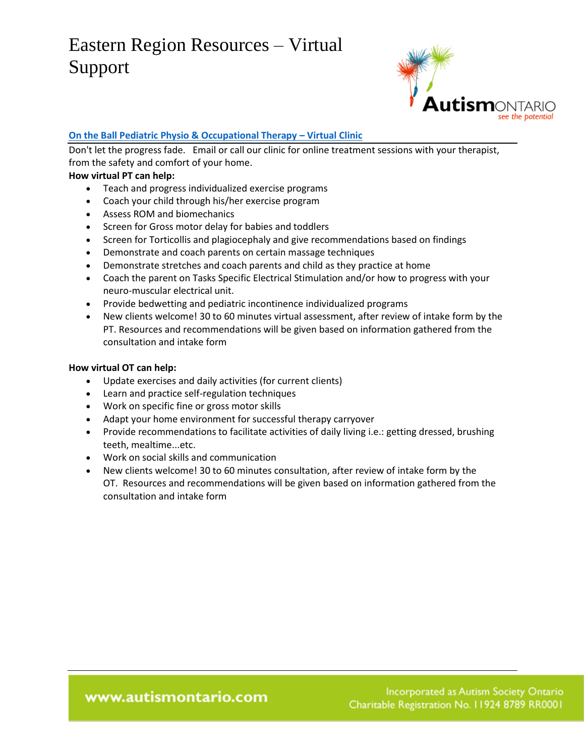

## **[On the Ball Pediatric Physio & Occupational Therapy](https://www.ontheball.ca/virtualclinic/teleconference) - Virtual Clinic**

Don't let the progress fade. Email or call our clinic for online treatment sessions with your therapist, from the safety and comfort of your home.

## **How virtual PT can help:**

- Teach and progress individualized exercise programs
- Coach your child through his/her exercise program
- Assess ROM and biomechanics
- Screen for Gross motor delay for babies and toddlers
- Screen for Torticollis and plagiocephaly and give recommendations based on findings
- Demonstrate and coach parents on certain massage techniques
- Demonstrate stretches and coach parents and child as they practice at home
- Coach the parent on Tasks Specific Electrical Stimulation and/or how to progress with your neuro-muscular electrical unit.
- Provide bedwetting and pediatric incontinence individualized programs
- New clients welcome! 30 to 60 minutes virtual assessment, after review of intake form by the PT. Resources and recommendations will be given based on information gathered from the consultation and intake form

### **How virtual OT can help:**

- Update exercises and daily activities (for current clients)
- Learn and practice self-regulation techniques
- Work on specific fine or gross motor skills
- Adapt your home environment for successful therapy carryover
- Provide recommendations to facilitate activities of daily living i.e.: getting dressed, brushing teeth, mealtime...etc.
- Work on social skills and communication
- New clients welcome! 30 to 60 minutes consultation, after review of intake form by the OT. Resources and recommendations will be given based on information gathered from the consultation and intake form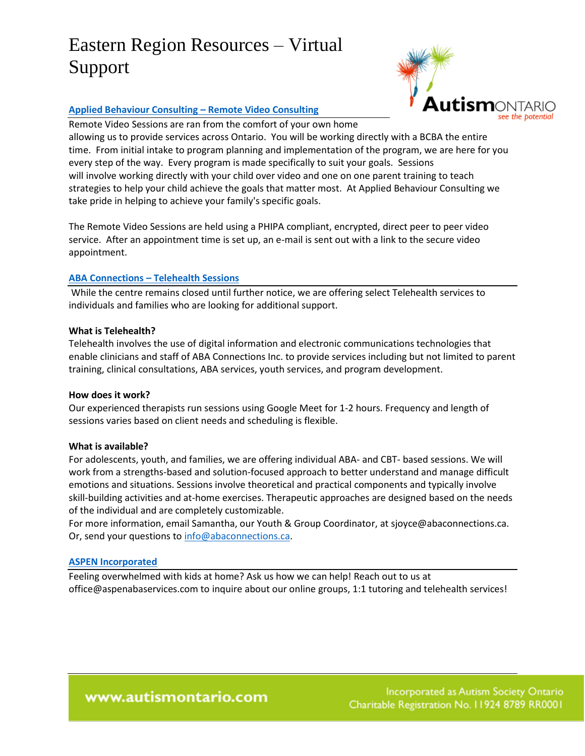

### **[Applied Behaviour Consulting](https://www.appliedbehaviourconsulting.com/video-sessions) – Remote Video Consulting**

Remote Video Sessions are ran from the comfort of your own home

allowing us to provide services across Ontario. You will be working directly with a BCBA the entire time. From initial intake to program planning and implementation of the program, we are here for you every step of the way. Every program is made specifically to suit your goals. Sessions will involve working directly with your child over video and one on one parent training to teach strategies to help your child achieve the goals that matter most. At Applied Behaviour Consulting we take pride in helping to achieve your family's specific goals.

The Remote Video Sessions are held using a PHIPA compliant, encrypted, direct peer to peer video service. After an appointment time is set up, an e-mail is sent out with a link to the secure video appointment.

### **ABA Connections – [Telehealth Sessions](https://www.abaconnections.ca/)**

While the centre remains closed until further notice, we are offering select Telehealth services to individuals and families who are looking for additional support.

### **What is Telehealth?**

Telehealth involves the use of digital information and electronic communications technologies that enable clinicians and staff of ABA Connections Inc. to provide services including but not limited to parent training, clinical consultations, ABA services, youth services, and program development.

#### **How does it work?**

Our experienced therapists run sessions using Google Meet for 1-2 hours. Frequency and length of sessions varies based on client needs and scheduling is flexible.

#### **What is available?**

For adolescents, youth, and families, we are offering individual ABA- and CBT- based sessions. We will work from a strengths-based and solution-focused approach to better understand and manage difficult emotions and situations. Sessions involve theoretical and practical components and typically involve skill-building activities and at-home exercises. Therapeutic approaches are designed based on the needs of the individual and are completely customizable.

For more information, email Samantha, our Youth & Group Coordinator, at sjoyce@abaconnections.ca. Or, send your questions to [info@abaconnections.ca.](mailto:info@abaconnections.ca)

#### **[ASPEN Incorporated](http://aspenabaservices.com/)**

Feeling overwhelmed with kids at home? Ask us how we can help! Reach out to us at office@aspenabaservices.com to inquire about our online groups, 1:1 tutoring and telehealth services!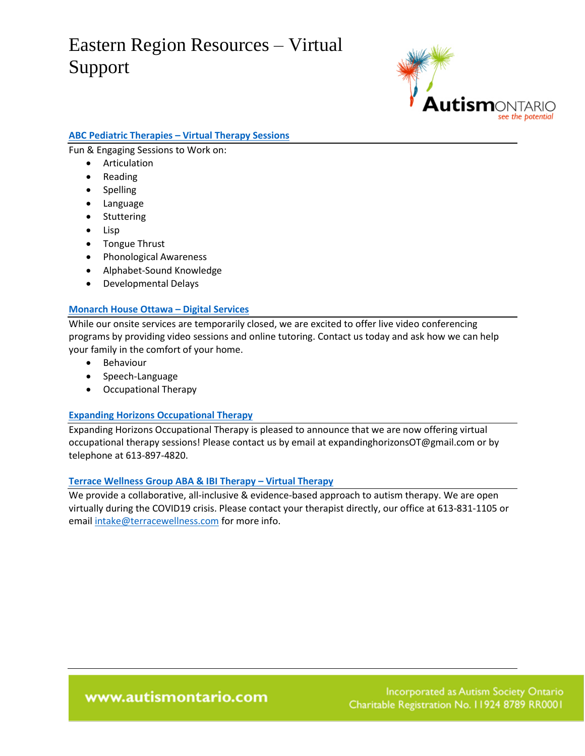

## **ABC Pediatric Therapies – [Virtual Therapy Sessions](https://www.abcpediatrictherapies.ca/)**

Fun & Engaging Sessions to Work on:

- Articulation
- Reading
- Spelling
- Language
- Stuttering
- Lisp
- Tongue Thrust
- Phonological Awareness
- Alphabet-Sound Knowledge
- Developmental Delays

#### **[Monarch House Ottawa](https://www.monarchhouse.ca/web/monarch-house-ottawa-kakulu/home) – Digital Services**

While our onsite services are temporarily closed, we are excited to offer live video conferencing programs by providing video sessions and online tutoring. Contact us today and ask how we can help your family in the comfort of your home.

- **•** Behaviour
- Speech-Language
- Occupational Therapy

### **[Expanding Horizons Occupational Therapy](https://www.expandinghorizonsot.com/services)**

Expanding Horizons Occupational Therapy is pleased to announce that we are now offering virtual occupational therapy sessions! Please contact us by email at expandinghorizonsOT@gmail.com or by telephone at 613-897-4820.

#### **[Terrace Wellness Group ABA & IBI Therapy](https://www.terracewellness.com/pages/abaibi) – Virtual Therapy**

We provide a collaborative, all-inclusive & evidence-based approach to autism therapy. We are open virtually during the [COVID19](https://www.facebook.com/hashtag/covid19?__cft__%5b0%5d=AZWfmcnUd9xMIcL10mSo17-_zgcv-tAexRkMcQB6wrqst74HteeZLfCfrhwBI8yBvwYgquAfrc-1zxFiUNkelGMlFouOtJAOqgh2MewtjgyClbvyvRiRRb5UF9bEJIDdkwchuPrcacjyI57N5P8jnpVzl2OOeyqq-2sl3tsqFW0irA&__tn__=*NK-R) crisis. Please contact your therapist directly, our office at 613-831-1105 or email [intake@terracewellness.com](mailto:intake@terracewellness.com) for more info.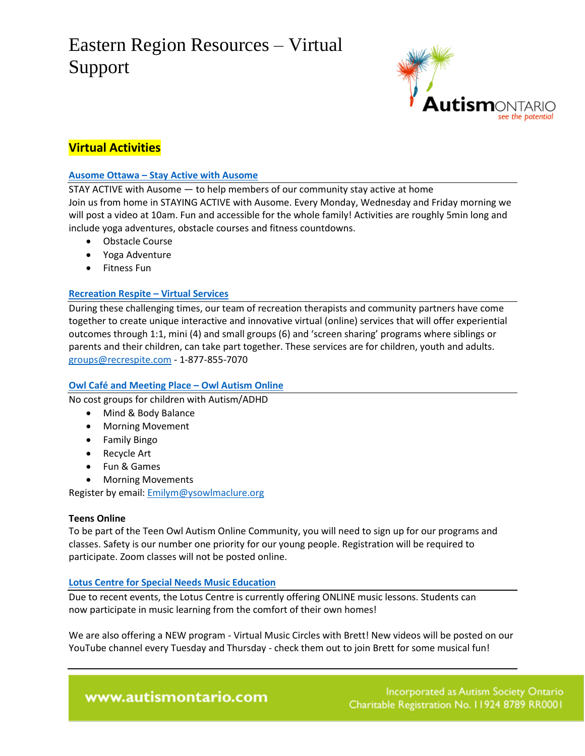

## **Virtual Activities**

## **[Ausome Ottawa](https://ausomeottawa.com/stay-active-with-ausome/) – Stay Active with Ausome**

STAY ACTIVE with Ausome — to help members of our community stay active at home Join us from home in STAYING ACTIVE with Ausome. Every Monday, Wednesday and Friday morning we will post a video at 10am. Fun and accessible for the whole family! Activities are roughly 5min long and include yoga adventures, obstacle courses and fitness countdowns.

- Obstacle Course
- Yoga Adventure
- **•** Fitness Fun

## **[Recreation Respite](https://recrespite.com/virtual-services/) – Virtual Services**

During these challenging times, our team of recreation therapists and community partners have come together to create unique interactive and innovative virtual (online) services that will offer experiential outcomes through 1:1, mini (4) and small groups (6) and 'screen sharing' programs where siblings or parents and their children, can take part together. These services are for children, youth and adults. [groups@recrespite.com](mailto:groups@recrespite.com) - 1-877-855-7070

## **Owl Café and Meeting Place – [Owl Autism Online](https://ysowlmaclure.org/the-owl-cafe/)**

No cost groups for children with Autism/ADHD

- Mind & Body Balance
- Morning Movement
- Family Bingo
- Recycle Art
- Fun & Games
- Morning Movements

Register by email: [Emilym@ysowlmaclure.org](mailto:Emilym@ysowlmaclure.org)

### **Teens Online**

To be part of the Teen Owl Autism Online Community, you will need to sign up for our programs and classes. Safety is our number one priority for our young people. Registration will be required to participate. Zoom classes will not be posted online.

### **[Lotus Centre for Special Needs Music Education](https://www.lotuscentre.net/)**

Due to recent events, the Lotus Centre is currently offering ONLINE music lessons. Students can now participate in music learning from the comfort of their own homes!

We are also offering a NEW program - Virtual Music Circles with Brett! New videos will be posted on our YouTube channel every Tuesday and Thursday - check them out to join Brett for some musical fun!

www.autismontario.com

Incorporated as Autism Society Ontario Charitable Registration No. 11924 8789 RR0001